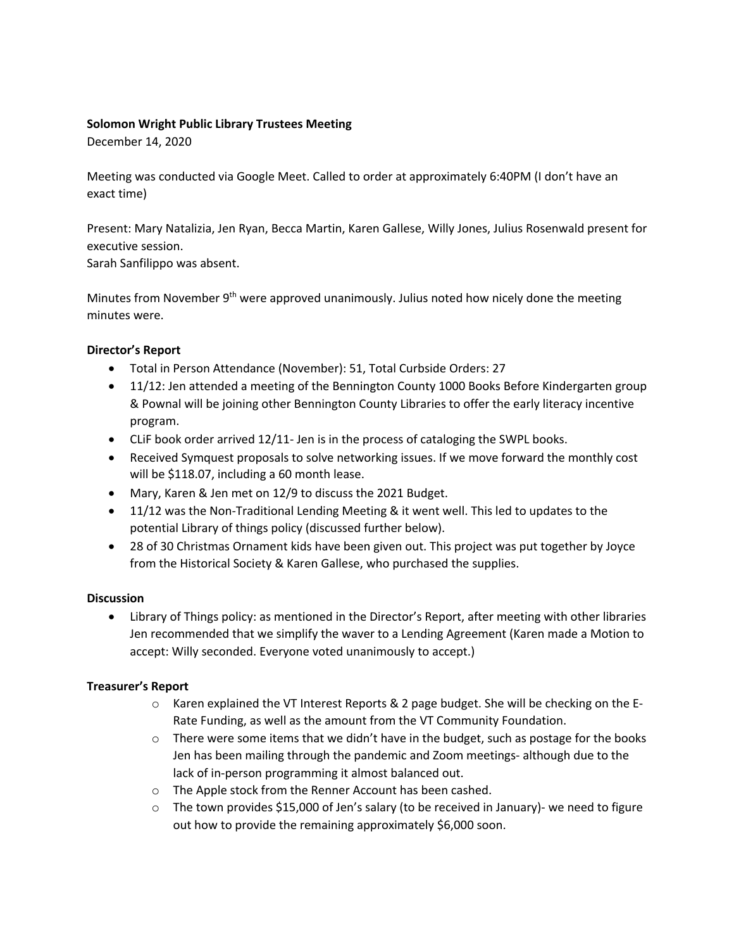### **Solomon Wright Public Library Trustees Meeting**

December 14, 2020

Meeting was conducted via Google Meet. Called to order at approximately 6:40PM (I don't have an exact time)

Present: Mary Natalizia, Jen Ryan, Becca Martin, Karen Gallese, Willy Jones, Julius Rosenwald present for executive session.

Sarah Sanfilippo was absent.

Minutes from November  $9<sup>th</sup>$  were approved unanimously. Julius noted how nicely done the meeting minutes were.

## **Director's Report**

- Total in Person Attendance (November): 51, Total Curbside Orders: 27
- 11/12: Jen attended a meeting of the Bennington County 1000 Books Before Kindergarten group & Pownal will be joining other Bennington County Libraries to offer the early literacy incentive program.
- CLiF book order arrived 12/11- Jen is in the process of cataloging the SWPL books.
- Received Symquest proposals to solve networking issues. If we move forward the monthly cost will be \$118.07, including a 60 month lease.
- Mary, Karen & Jen met on 12/9 to discuss the 2021 Budget.
- 11/12 was the Non-Traditional Lending Meeting & it went well. This led to updates to the potential Library of things policy (discussed further below).
- 28 of 30 Christmas Ornament kids have been given out. This project was put together by Joyce from the Historical Society & Karen Gallese, who purchased the supplies.

## **Discussion**

• Library of Things policy: as mentioned in the Director's Report, after meeting with other libraries Jen recommended that we simplify the waver to a Lending Agreement (Karen made a Motion to accept: Willy seconded. Everyone voted unanimously to accept.)

## **Treasurer's Report**

- o Karen explained the VT Interest Reports & 2 page budget. She will be checking on the E-Rate Funding, as well as the amount from the VT Community Foundation.
- $\circ$  There were some items that we didn't have in the budget, such as postage for the books Jen has been mailing through the pandemic and Zoom meetings- although due to the lack of in-person programming it almost balanced out.
- o The Apple stock from the Renner Account has been cashed.
- $\circ$  The town provides \$15,000 of Jen's salary (to be received in January)- we need to figure out how to provide the remaining approximately \$6,000 soon.